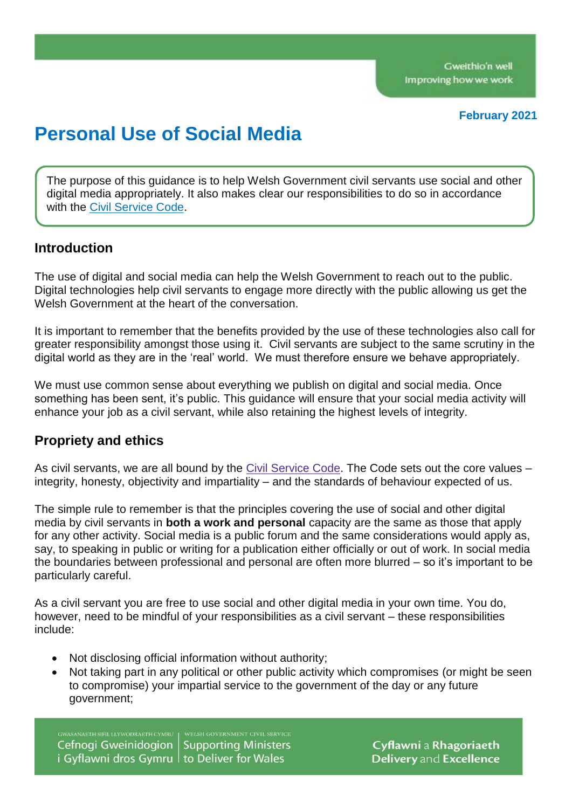#### **February 2021**

# **Personal Use of Social Media**

The purpose of this guidance is to help Welsh Government civil servants use social and other digital media appropriately. It also makes clear our responsibilities to do so in accordance with the Civil [Service](https://www.gov.uk/government/publications/civil-service-code) Code.

### **Introduction**

The use of digital and social media can help the Welsh Government to reach out to the public. Digital technologies help civil servants to engage more directly with the public allowing us get the Welsh Government at the heart of the conversation.

It is important to remember that the benefits provided by the use of these technologies also call for greater responsibility amongst those using it. Civil servants are subject to the same scrutiny in the digital world as they are in the 'real' world. We must therefore ensure we behave appropriately.

We must use common sense about everything we publish on digital and social media. Once something has been sent, it's public. This guidance will ensure that your social media activity will enhance your job as a civil servant, while also retaining the highest levels of integrity.

## **Propriety and ethics**

As civil servants, we are all bound by the Civil [Service](https://www.gov.uk/government/publications/civil-service-code) Code. The Code sets out the core values – integrity, honesty, objectivity and impartiality – and the standards of behaviour expected of us.

The simple rule to remember is that the principles covering the use of social and other digital media by civil servants in **both a work and personal** capacity are the same as those that apply for any other activity. Social media is a public forum and the same considerations would apply as, say, to speaking in public or writing for a publication either officially or out of work. In social media the boundaries between professional and personal are often more blurred – so it's important to be particularly careful.

As a civil servant you are free to use social and other digital media in your own time. You do, however, need to be mindful of your responsibilities as a civil servant – these responsibilities include:

- Not disclosing official information without authority;
- Not taking part in any political or other public activity which compromises (or might be seen to compromise) your impartial service to the government of the day or any future government;

Cefnogi Gweinidogion **Supporting Ministers** i Gyflawni dros Gymru | to Deliver for Wales

Cyflawni a Rhagoriaeth Delivery and Excellence